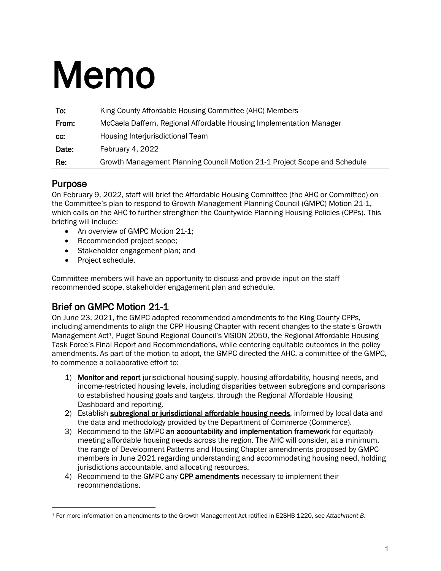# Memo

| To:   | King County Affordable Housing Committee (AHC) Members                    |
|-------|---------------------------------------------------------------------------|
| From: | McCaela Daffern, Regional Affordable Housing Implementation Manager       |
| CC:   | Housing Interjurisdictional Team                                          |
| Date: | February 4, 2022                                                          |
| Re:   | Growth Management Planning Council Motion 21-1 Project Scope and Schedule |

## Purpose

On February 9, 2022, staff will brief the Affordable Housing Committee (the AHC or Committee) on the Committee's plan to respond to Growth Management Planning Council (GMPC) Motion 21-1, which calls on the AHC to further strengthen the Countywide Planning Housing Policies (CPPs). This briefing will include:

- An overview of GMPC Motion 21-1;
- Recommended project scope;
- Stakeholder engagement plan; and
- Project schedule.

Committee members will have an opportunity to discuss and provide input on the staff recommended scope, stakeholder engagement plan and schedule.

## Brief on GMPC Motion 21-1

On June 23, 2021, the GMPC adopted recommended amendments to the King County CPPs, including amendments to align the CPP Housing Chapter with recent changes to the state's Growth Management Act<sup>1</sup>, Puget Sound Regional Council's VISION 2050, the Regional Affordable Housing Task Force's Final Report and Recommendations, while centering equitable outcomes in the policy amendments. As part of the motion to adopt, the GMPC directed the AHC, a committee of the GMPC, to commence a collaborative effort to:

- 1) Monitor and report jurisdictional housing supply, housing affordability, housing needs, and income-restricted housing levels, including disparities between subregions and comparisons to established housing goals and targets, through the Regional Affordable Housing Dashboard and reporting.
- 2) Establish **subregional or jurisdictional affordable housing needs**, informed by local data and the data and methodology provided by the Department of Commerce (Commerce).
- 3) Recommend to the GMPC an accountability and implementation framework for equitably meeting affordable housing needs across the region. The AHC will consider, at a minimum, the range of Development Patterns and Housing Chapter amendments proposed by GMPC members in June 2021 regarding understanding and accommodating housing need, holding jurisdictions accountable, and allocating resources.
- 4) Recommend to the GMPC any CPP amendments necessary to implement their recommendations.

<span id="page-0-0"></span><sup>1</sup> For more information on amendments to the Growth Management Act ratified in E2SHB 1220, see *Attachment B*.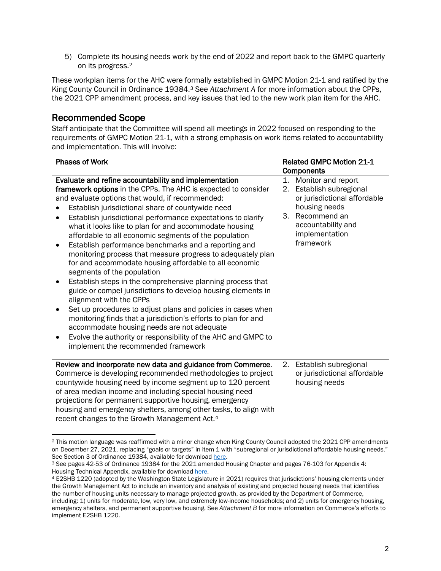5) Complete its housing needs work by the end of 2022 and report back to the GMPC quarterly on its progress.[2](#page-1-0)

These workplan items for the AHC were formally established in GMPC Motion 21-1 and ratified by the King County Council in Ordinance 19384.[3](#page-1-1) See *Attachment A* for more information about the CPPs, the 2021 CPP amendment process, and key issues that led to the new work plan item for the AHC.

#### Recommended Scope

Staff anticipate that the Committee will spend all meetings in 2022 focused on responding to the requirements of GMPC Motion 21-1, with a strong emphasis on work items related to accountability and implementation. This will involve:

| <b>Phases of Work</b>                                                                                                                                                                                                                                                                                                                                                                                                                                                                                                                                                                                                                                                                                                                                                                                                                                                                                                                                                                                                                                                                                                   |                | <b>Related GMPC Motion 21-1</b><br>Components                                                                                                                     |  |
|-------------------------------------------------------------------------------------------------------------------------------------------------------------------------------------------------------------------------------------------------------------------------------------------------------------------------------------------------------------------------------------------------------------------------------------------------------------------------------------------------------------------------------------------------------------------------------------------------------------------------------------------------------------------------------------------------------------------------------------------------------------------------------------------------------------------------------------------------------------------------------------------------------------------------------------------------------------------------------------------------------------------------------------------------------------------------------------------------------------------------|----------------|-------------------------------------------------------------------------------------------------------------------------------------------------------------------|--|
| Evaluate and refine accountability and implementation<br>framework options in the CPPs. The AHC is expected to consider<br>and evaluate options that would, if recommended:<br>Establish jurisdictional share of countywide need<br>Establish jurisdictional performance expectations to clarify<br>$\bullet$<br>what it looks like to plan for and accommodate housing<br>affordable to all economic segments of the population<br>Establish performance benchmarks and a reporting and<br>$\bullet$<br>monitoring process that measure progress to adequately plan<br>for and accommodate housing affordable to all economic<br>segments of the population<br>Establish steps in the comprehensive planning process that<br>٠<br>guide or compel jurisdictions to develop housing elements in<br>alignment with the CPPs<br>Set up procedures to adjust plans and policies in cases when<br>monitoring finds that a jurisdiction's efforts to plan for and<br>accommodate housing needs are not adequate<br>Evolve the authority or responsibility of the AHC and GMPC to<br>٠<br>implement the recommended framework | 1.<br>2.<br>3. | Monitor and report<br>Establish subregional<br>or jurisdictional affordable<br>housing needs<br>Recommend an<br>accountability and<br>implementation<br>framework |  |
| Review and incorporate new data and guidance from Commerce.<br>Commerce is developing recommended methodologies to project<br>countywide housing need by income segment up to 120 percent<br>of area median income and including special housing need<br>projections for permanent supportive housing, emergency<br>housing and emergency shelters, among other tasks, to align with<br>recent changes to the Growth Management Act.4                                                                                                                                                                                                                                                                                                                                                                                                                                                                                                                                                                                                                                                                                   | 2.             | Establish subregional<br>or jurisdictional affordable<br>housing needs                                                                                            |  |

<span id="page-1-0"></span><sup>2</sup> This motion language was reaffirmed with a minor change when King County Council adopted the 2021 CPP amendments on December 27, 2021, replacing "goals or targets" in item 1 with "subregional or jurisdictional affordable housing needs."<br>See Section 3 of Ordinance 19384, available for download here.

<span id="page-1-1"></span><sup>&</sup>lt;sup>3</sup> See pages 42-53 of Ordinance 19384 for the 2021 amended Housing Chapter and pages 76-103 for Appendix 4: Housing Technical Appendix, available for downloa[d here.](https://mkcclegisearch.kingcounty.gov/LegislationDetail.aspx?ID=5015801&GUID=88505BC7-9134-4681-A3A8-B73738C109F9&Options=Advanced&Search=)

<span id="page-1-2"></span><sup>4</sup> E2SHB 1220 (adopted by the Washington State Legislature in 2021) requires that jurisdictions' housing elements under the Growth Management Act to include an inventory and analysis of existing and projected housing needs that identifies the number of housing units necessary to manage projected growth, as provided by the Department of Commerce, including: 1) units for moderate, low, very low, and extremely low-income households; and 2) units for emergency housing, emergency shelters, and permanent supportive housing. See *Attachment B* for more information on Commerce's efforts to implement E2SHB 1220.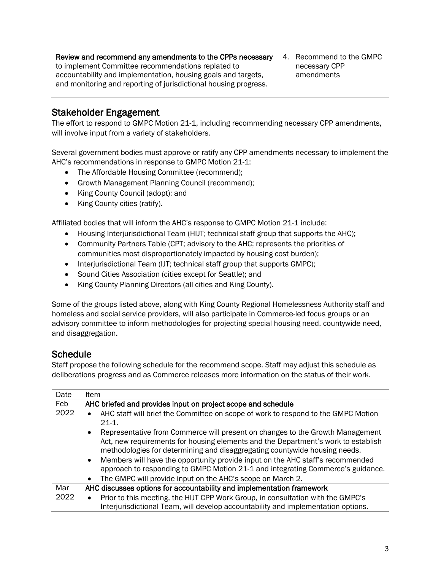Review and recommend any amendments to the CPPs necessary to implement Committee recommendations replated to accountability and implementation, housing goals and targets, and monitoring and reporting of jurisdictional housing progress.

4. Recommend to the GMPC necessary CPP amendments

#### Stakeholder Engagement

The effort to respond to GMPC Motion 21-1, including recommending necessary CPP amendments, will involve input from a variety of stakeholders.

Several government bodies must approve or ratify any CPP amendments necessary to implement the AHC's recommendations in response to GMPC Motion 21-1:

- The Affordable Housing Committee (recommend);
- Growth Management Planning Council (recommend);
- King County Council (adopt); and
- King County cities (ratify).

Affiliated bodies that will inform the AHC's response to GMPC Motion 21-1 include:

- Housing Interjurisdictional Team (HIJT; technical staff group that supports the AHC);
- Community Partners Table (CPT; advisory to the AHC; represents the priorities of communities most disproportionately impacted by housing cost burden);
- Interjurisdictional Team (IJT; technical staff group that supports GMPC);
- Sound Cities Association (cities except for Seattle); and
- King County Planning Directors (all cities and King County).

Some of the groups listed above, along with King County Regional Homelessness Authority staff and homeless and social service providers, will also participate in Commerce-led focus groups or an advisory committee to inform methodologies for projecting special housing need, countywide need, and disaggregation.

## **Schedule**

Staff propose the following schedule for the recommend scope. Staff may adjust this schedule as deliberations progress and as Commerce releases more information on the status of their work.

| Date | <b>Item</b>                                                                                                                                                                                                                                                   |
|------|---------------------------------------------------------------------------------------------------------------------------------------------------------------------------------------------------------------------------------------------------------------|
| Feb  | AHC briefed and provides input on project scope and schedule                                                                                                                                                                                                  |
| 2022 | AHC staff will brief the Committee on scope of work to respond to the GMPC Motion<br>$21-1.$                                                                                                                                                                  |
|      | Representative from Commerce will present on changes to the Growth Management<br>$\bullet$<br>Act, new requirements for housing elements and the Department's work to establish<br>methodologies for determining and disaggregating countywide housing needs. |
|      | Members will have the opportunity provide input on the AHC staff's recommended<br>$\bullet$<br>approach to responding to GMPC Motion 21-1 and integrating Commerce's guidance.                                                                                |
|      | The GMPC will provide input on the AHC's scope on March 2.<br>$\bullet$                                                                                                                                                                                       |
| Mar  | AHC discusses options for accountability and implementation framework                                                                                                                                                                                         |
| 2022 | Prior to this meeting, the HIJT CPP Work Group, in consultation with the GMPC's<br>$\bullet$<br>Interjurisdictional Team, will develop accountability and implementation options.                                                                             |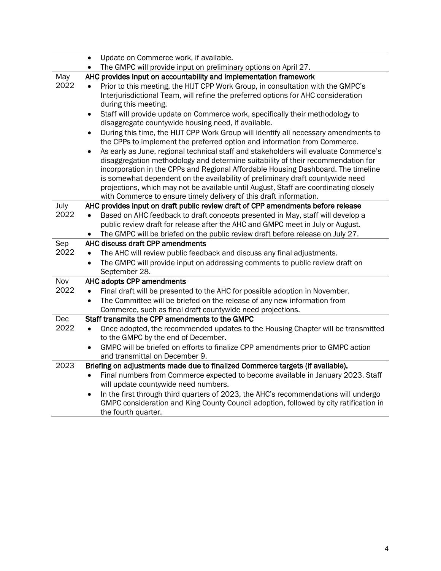|      | Update on Commerce work, if available.<br>$\bullet$                                               |
|------|---------------------------------------------------------------------------------------------------|
|      | The GMPC will provide input on preliminary options on April 27.<br>$\bullet$                      |
| May  | AHC provides input on accountability and implementation framework                                 |
| 2022 | Prior to this meeting, the HIJT CPP Work Group, in consultation with the GMPC's                   |
|      | Interjurisdictional Team, will refine the preferred options for AHC consideration                 |
|      | during this meeting.                                                                              |
|      | Staff will provide update on Commerce work, specifically their methodology to<br>$\bullet$        |
|      | disaggregate countywide housing need, if available.                                               |
|      | During this time, the HIJT CPP Work Group will identify all necessary amendments to<br>$\bullet$  |
|      | the CPPs to implement the preferred option and information from Commerce.                         |
|      | As early as June, regional technical staff and stakeholders will evaluate Commerce's<br>$\bullet$ |
|      | disaggregation methodology and determine suitability of their recommendation for                  |
|      | incorporation in the CPPs and Regional Affordable Housing Dashboard. The timeline                 |
|      | is somewhat dependent on the availability of preliminary draft countywide need                    |
|      | projections, which may not be available until August, Staff are coordinating closely              |
|      | with Commerce to ensure timely delivery of this draft information.                                |
| July | AHC provides input on draft public review draft of CPP amendments before release                  |
| 2022 | Based on AHC feedback to draft concepts presented in May, staff will develop a<br>$\bullet$       |
|      | public review draft for release after the AHC and GMPC meet in July or August.                    |
|      | The GMPC will be briefed on the public review draft before release on July 27.                    |
| Sep  | AHC discuss draft CPP amendments                                                                  |
| 2022 | The AHC will review public feedback and discuss any final adjustments.                            |
|      | The GMPC will provide input on addressing comments to public review draft on<br>$\bullet$         |
|      | September 28.                                                                                     |
| Nov  | AHC adopts CPP amendments                                                                         |
| 2022 | Final draft will be presented to the AHC for possible adoption in November.<br>$\bullet$          |
|      | The Committee will be briefed on the release of any new information from<br>$\bullet$             |
|      | Commerce, such as final draft countywide need projections.                                        |
| Dec  | Staff transmits the CPP amendments to the GMPC                                                    |
| 2022 | Once adopted, the recommended updates to the Housing Chapter will be transmitted<br>$\bullet$     |
|      | to the GMPC by the end of December.                                                               |
|      | GMPC will be briefed on efforts to finalize CPP amendments prior to GMPC action<br>$\bullet$      |
|      | and transmittal on December 9.                                                                    |
| 2023 | Briefing on adjustments made due to finalized Commerce targets (if available).                    |
|      | Final numbers from Commerce expected to become available in January 2023. Staff<br>$\bullet$      |
|      | will update countywide need numbers.                                                              |
|      | In the first through third quarters of 2023, the AHC's recommendations will undergo<br>٠          |
|      | GMPC consideration and King County Council adoption, followed by city ratification in             |
|      | the fourth quarter.                                                                               |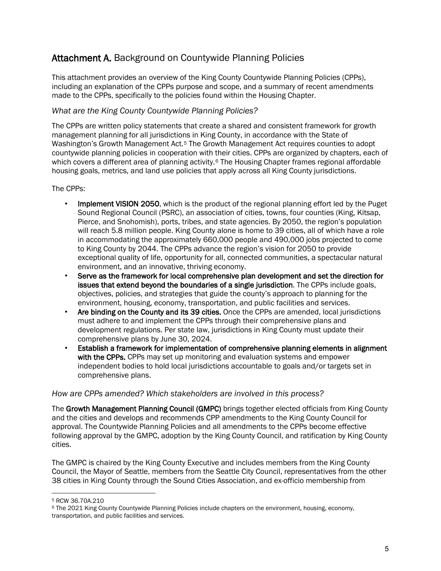## Attachment A. Background on Countywide Planning Policies

This attachment provides an overview of the King County Countywide Planning Policies (CPPs), including an explanation of the CPPs purpose and scope, and a summary of recent amendments made to the CPPs, specifically to the policies found within the Housing Chapter.

#### *What are the King County Countywide Planning Policies?*

The CPPs are written policy statements that create a shared and consistent framework for growth management planning for all jurisdictions in King County, in accordance with the State of Washington's Growth Management Act.<sup>[5](#page-4-0)</sup> The Growth Management Act requires counties to adopt countywide planning policies in cooperation with their cities. CPPs are organized by chapters, each of which covers a different area of planning activity.<sup>[6](#page-4-1)</sup> The Housing Chapter frames regional affordable housing goals, metrics, and land use policies that apply across all King County jurisdictions.

The CPPs:

- Implement VISION 2050, which is the product of the regional planning effort led by the Puget Sound Regional Council (PSRC), an association of cities, towns, four counties (King, Kitsap, Pierce, and Snohomish), ports, tribes, and state agencies. By 2050, the region's population will reach 5.8 million people. King County alone is home to 39 cities, all of which have a role in accommodating the approximately 660,000 people and 490,000 jobs projected to come to King County by 2044. The CPPs advance the region's vision for 2050 to provide exceptional quality of life, opportunity for all, connected communities, a spectacular natural environment, and an innovative, thriving economy.
- Serve as the framework for local comprehensive plan development and set the direction for issues that extend beyond the boundaries of a single jurisdiction. The CPPs include goals, objectives, policies, and strategies that guide the county's approach to planning for the environment, housing, economy, transportation, and public facilities and services.
- Are binding on the County and its 39 cities. Once the CPPs are amended, local jurisdictions must adhere to and implement the CPPs through their comprehensive plans and development regulations. Per state law, jurisdictions in King County must update their comprehensive plans by June 30, 2024.
- Establish a framework for implementation of comprehensive planning elements in alignment with the CPPs. CPPs may set up monitoring and evaluation systems and empower independent bodies to hold local jurisdictions accountable to goals and/or targets set in comprehensive plans.

#### *How are CPPs amended? Which stakeholders are involved in this process?*

The Growth Management Planning Council (GMPC) brings together elected officials from King County and the cities and develops and recommends CPP amendments to the King County Council for approval. The Countywide Planning Policies and all amendments to the CPPs become effective following approval by the GMPC, adoption by the King County Council, and ratification by King County cities.

The GMPC is chaired by the King County Executive and includes members from the King County Council, the Mayor of Seattle, members from the Seattle City Council, representatives from the other 38 cities in King County through the Sound Cities Association, and ex-officio membership from

<span id="page-4-0"></span><sup>5</sup> RCW 36.70A.210

<span id="page-4-1"></span><sup>6</sup> The 2021 King County Countywide Planning Policies include chapters on the environment, housing, economy, transportation, and public facilities and services.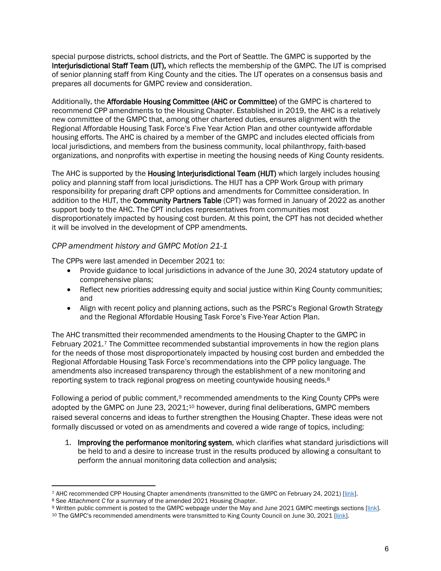special purpose districts, school districts, and the Port of Seattle. The GMPC is supported by the Interjurisdictional Staff Team (IJT), which reflects the membership of the GMPC. The IJT is comprised of senior planning staff from King County and the cities. The IJT operates on a consensus basis and prepares all documents for GMPC review and consideration.

Additionally, the Affordable Housing Committee (AHC or Committee) of the GMPC is chartered to recommend CPP amendments to the Housing Chapter. Established in 2019, the AHC is a relatively new committee of the GMPC that, among other chartered duties, ensures alignment with the Regional Affordable Housing Task Force's Five Year Action Plan and other countywide affordable housing efforts. The AHC is chaired by a member of the GMPC and includes elected officials from local jurisdictions, and members from the business community, local philanthropy, faith-based organizations, and nonprofits with expertise in meeting the housing needs of King County residents.

The AHC is supported by the **Housing Interjurisdictional Team (HIJT)** which largely includes housing policy and planning staff from local jurisdictions. The HIJT has a CPP Work Group with primary responsibility for preparing draft CPP options and amendments for Committee consideration. In addition to the HIJT, the Community Partners Table (CPT) was formed in January of 2022 as another support body to the AHC. The CPT includes representatives from communities most disproportionately impacted by housing cost burden. At this point, the CPT has not decided whether it will be involved in the development of CPP amendments.

#### *CPP amendment history and GMPC Motion 21-1*

The CPPs were last amended in December 2021 to:

- Provide guidance to local jurisdictions in advance of the June 30, 2024 statutory update of comprehensive plans;
- Reflect new priorities addressing equity and social justice within King County communities; and
- Align with recent policy and planning actions, such as the PSRC's Regional Growth Strategy and the Regional Affordable Housing Task Force's Five-Year Action Plan.

The AHC transmitted their recommended amendments to the Housing Chapter to the GMPC in February 2021.[7](#page-5-0) The Committee recommended substantial improvements in how the region plans for the needs of those most disproportionately impacted by housing cost burden and embedded the Regional Affordable Housing Task Force's recommendations into the CPP policy language. The amendments also increased transparency through the establishment of a new monitoring and reporting system to track regional progress on meeting countywide housing needs.[8](#page-5-1)

Following a period of public comment,<sup>[9](#page-5-2)</sup> [recommended amendments to the King County CPPs](https://kingcounty.gov/%7E/media/depts/executive/performance-strategy-budget/regional-planning/CPPs/2021_KC_CPPs_Package.ashx?la=en) were adopted by the GMPC on June 23, 2021;<sup>[10](#page-5-3)</sup> however, during final deliberations, GMPC members raised several concerns and ideas to further strengthen the Housing Chapter. These ideas were not formally discussed or voted on as amendments and covered a wide range of topics, including:

1. Improving the performance monitoring system, which clarifies what standard jurisdictions will be held to and a desire to increase trust in the results produced by allowing a consultant to perform the annual monitoring data collection and analysis;

<span id="page-5-1"></span>

<span id="page-5-0"></span><sup>&</sup>lt;sup>7</sup> AHC recommended CPP Housing Chapter amendments (transmitted to the GMPC on February 24, 2021) [\[link\]](https://kingcounty.gov/%7E/media/depts/executive/performance-strategy-budget/regional-planning/CPPs/2021_KC_CPPs_Package.ashx?la=en).<br><sup>8</sup> See Attachment C for a summary of the amended 2021 Housing Chapter.<br><sup>9</sup> Written public comment is posted to the

<span id="page-5-3"></span><span id="page-5-2"></span>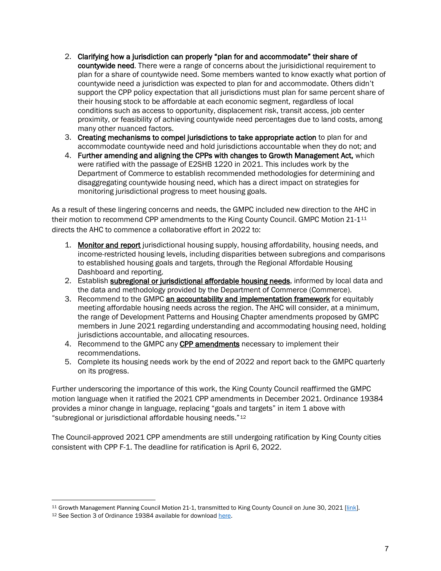- 2. Clarifying how a jurisdiction can properly "plan for and accommodate" their share of countywide need. There were a range of concerns about the jurisidictional requirement to plan for a share of countywide need. Some members wanted to know exactly what portion of countywide need a jurisdiction was expected to plan for and accommodate. Others didn't support the CPP policy expectation that all jurisdictions must plan for same percent share of their housing stock to be affordable at each economic segment, regardless of local conditions such as access to opportunity, displacement risk, transit access, job center proximity, or feasibility of achieving countywide need percentages due to land costs, among many other nuanced factors.
- 3. Creating mechanisms to compel jurisdictions to take appropriate action to plan for and accommodate countywide need and hold jurisdictions accountable when they do not; and
- 4. Further amending and aligning the CPPs with changes to Growth Management Act, which were ratified with the passage of E2SHB 1220 in 2021. This includes work by the Department of Commerce to establish recommended methodologies for determining and disaggregating countywide housing need, which has a direct impact on strategies for monitoring jurisdictional progress to meet housing goals.

As a result of these lingering concerns and needs, the GMPC included new direction to the AHC in their motion to recommend CPP amendments to the King County Council. GMPC Motion 21-1<sup>[11](#page-6-0)</sup> directs the AHC to commence a collaborative effort in 2022 to:

- 1. Monitor and report jurisdictional housing supply, housing affordability, housing needs, and income-restricted housing levels, including disparities between subregions and comparisons to established housing goals and targets, through the Regional Affordable Housing Dashboard and reporting.
- 2. Establish **subregional or jurisdictional affordable housing needs**, informed by local data and the data and methodology provided by the Department of Commerce (Commerce).
- 3. Recommend to the GMPC an accountability and implementation framework for equitably meeting affordable housing needs across the region. The AHC will consider, at a minimum, the range of Development Patterns and Housing Chapter amendments proposed by GMPC members in June 2021 regarding understanding and accommodating housing need, holding jurisdictions accountable, and allocating resources.
- 4. Recommend to the GMPC any CPP amendments necessary to implement their recommendations.
- 5. Complete its housing needs work by the end of 2022 and report back to the GMPC quarterly on its progress.

Further underscoring the importance of this work, the King County Council reaffirmed the GMPC motion language when it ratified the 2021 CPP amendments in December 2021. Ordinance 19384 provides a minor change in language, replacing "goals and targets" in item 1 above with "subregional or jurisdictional affordable housing needs."[12](#page-6-1)

The Council-approved 2021 CPP amendments are still undergoing ratification by King County cities consistent with CPP F-1. The deadline for ratification is April 6, 2022.

<span id="page-6-1"></span><span id="page-6-0"></span><sup>&</sup>lt;sup>11</sup> Growth Management Planning Council Motion 21-1, transmitted to King County Council on June 30, 2021 [\[link\]](https://kingcounty.gov/%7E/media/depts/executive/performance-strategy-budget/regional-planning/CPPs/2021_KC_CPPs_Package.ashx?la=en).<br><sup>12</sup> See Section 3 of Ordinance 19384 available for download here.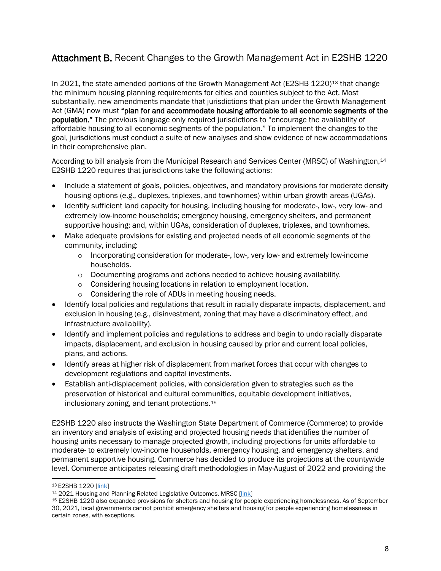# Attachment B. Recent Changes to the Growth Management Act in E2SHB 1220

In 2021, the state amended portions of the Growth Management Act (E2SHB 1220)<sup>[13](#page-7-0)</sup> that change the minimum housing planning requirements for cities and counties subject to the Act. Most substantially, new amendments mandate that jurisdictions that plan under the Growth Management Act (GMA) now must "plan for and accommodate housing affordable to all economic segments of the population." The previous language only required jurisdictions to "encourage the availability of affordable housing to all economic segments of the population." To implement the changes to the goal, jurisdictions must conduct a suite of new analyses and show evidence of new accommodations in their comprehensive plan.

According to bill analysis from the Municipal Research and Services Center (MRSC) of Washington,<sup>[14](#page-7-1)</sup> E2SHB 1220 requires that jurisdictions take the following actions:

- Include a statement of goals, policies, objectives, and mandatory provisions for moderate density housing options (e.g., duplexes, triplexes, and townhomes) within urban growth areas (UGAs).
- Identify sufficient land capacity for housing, including housing for moderate-, low-, very low- and extremely low-income households; emergency housing, emergency shelters, and permanent supportive housing; and, within UGAs, consideration of duplexes, triplexes, and townhomes.
- Make adequate provisions for existing and projected needs of all economic segments of the community, including:
	- $\circ$  Incorporating consideration for moderate-, low-, very low- and extremely low-income households.
	- o Documenting programs and actions needed to achieve housing availability.
	- o Considering housing locations in relation to employment location.
	- o Considering the role of ADUs in meeting housing needs.
- Identify local policies and regulations that result in racially disparate impacts, displacement, and exclusion in housing (e.g., disinvestment, zoning that may have a discriminatory effect, and infrastructure availability).
- Identify and implement policies and regulations to address and begin to undo racially disparate impacts, displacement, and exclusion in housing caused by prior and current local policies, plans, and actions.
- Identify areas at higher risk of displacement from market forces that occur with changes to development regulations and capital investments.
- Establish anti-displacement policies, with consideration given to strategies such as the preservation of historical and cultural communities, equitable development initiatives, inclusionary zoning, and tenant protections.[15](#page-7-2)

E2SHB 1220 also instructs the Washington State Department of Commerce (Commerce) to provide an inventory and analysis of existing and projected housing needs that identifies the number of housing units necessary to manage projected growth, including projections for units affordable to moderate- to extremely low-income households, emergency housing, and emergency shelters, and permanent supportive housing. Commerce has decided to produce its projections at the countywide level. Commerce anticipates releasing draft methodologies in May-August of 2022 and providing the

<span id="page-7-2"></span>

<span id="page-7-1"></span><span id="page-7-0"></span><sup>&</sup>lt;sup>13</sup> E2SHB 1220 [<u>link]</u><br><sup>14</sup> 2021 Housing and Planning-Related Legislative Outcomes, MRSC [<u>link]</u><br><sup>15</sup> E2SHB 1220 also expanded provisions for shelters and housing for people experiencing homelessness. As of September 30, 2021, local governments cannot prohibit emergency shelters and housing for people experiencing homelessness in certain zones, with exceptions.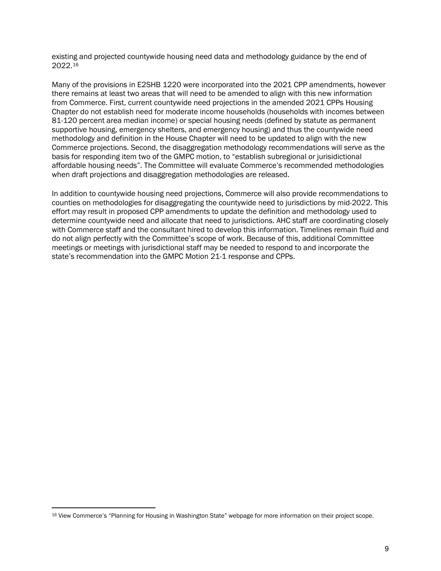existing and projected countywide housing need data and methodology guidance by the end of 2022.[16](#page-8-0)

Many of the provisions in E2SHB 1220 were incorporated into the 2021 CPP amendments, however there remains at least two areas that will need to be amended to align with this new information from Commerce. First, current countywide need projections in the amended 2021 CPPs Housing Chapter do not establish need for moderate income households (households with incomes between 81-120 percent area median income) or special housing needs (defined by statute as permanent supportive housing, emergency shelters, and emergency housing) and thus the countywide need methodology and definition in the House Chapter will need to be updated to align with the new Commerce projections. Second, the disaggregation methodology recommendations will serve as the basis for responding item two of the GMPC motion, to "establish subregional or jurisidictional affordable housing needs". The Committee will evaluate Commerce's recommended methodologies when draft projections and disaggregation methodologies are released.

In addition to countywide housing need projections, Commerce will also provide recommendations to counties on methodologies for disaggregating the countywide need to jurisdictions by mid-2022. This effort may result in proposed CPP amendments to update the definition and methodology used to determine countywide need and allocate that need to jurisdictions. AHC staff are coordinating closely with Commerce staff and the consultant hired to develop this information. Timelines remain fluid and do not align perfectly with the Committee's scope of work. Because of this, additional Committee meetings or meetings with jurisdictional staff may be needed to respond to and incorporate the state's recommendation into the GMPC Motion 21-1 response and CPPs.

<span id="page-8-0"></span><sup>16</sup> View Commerce's "Planning for Housing in Washington State" webpage for more information on their project scope.